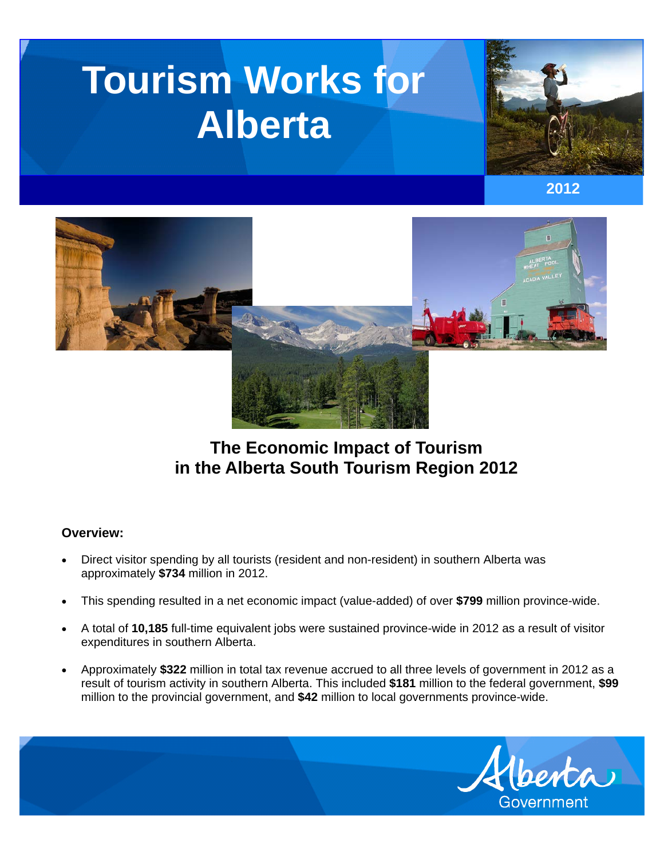# **Tourism Works for Alberta**







# **The Economic Impact of Tourism in the Alberta South Tourism Region 2012**

## **Overview:**

- Direct visitor spending by all tourists (resident and non-resident) in southern Alberta was approximately **\$734** million in 2012.
- This spending resulted in a net economic impact (value-added) of over **\$799** million province-wide.
- A total of **10,185** full-time equivalent jobs were sustained province-wide in 2012 as a result of visitor expenditures in southern Alberta.
- Approximately **\$322** million in total tax revenue accrued to all three levels of government in 2012 as a result of tourism activity in southern Alberta. This included **\$181** million to the federal government, **\$99** million to the provincial government, and **\$42** million to local governments province-wide.

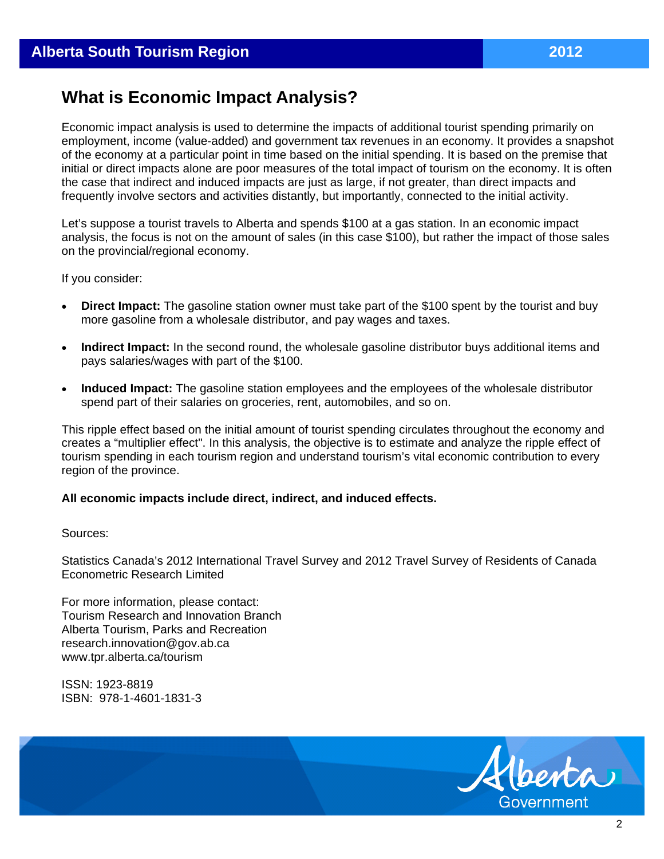# **What is Economic Impact Analysis?**

Economic impact analysis is used to determine the impacts of additional tourist spending primarily on employment, income (value-added) and government tax revenues in an economy. It provides a snapshot of the economy at a particular point in time based on the initial spending. It is based on the premise that initial or direct impacts alone are poor measures of the total impact of tourism on the economy. It is often the case that indirect and induced impacts are just as large, if not greater, than direct impacts and frequently involve sectors and activities distantly, but importantly, connected to the initial activity.

Let's suppose a tourist travels to Alberta and spends \$100 at a gas station. In an economic impact analysis, the focus is not on the amount of sales (in this case \$100), but rather the impact of those sales on the provincial/regional economy.

If you consider:

- **Direct Impact:** The gasoline station owner must take part of the \$100 spent by the tourist and buy more gasoline from a wholesale distributor, and pay wages and taxes.
- **Indirect Impact:** In the second round, the wholesale gasoline distributor buys additional items and pays salaries/wages with part of the \$100.
- **Induced Impact:** The gasoline station employees and the employees of the wholesale distributor spend part of their salaries on groceries, rent, automobiles, and so on.

This ripple effect based on the initial amount of tourist spending circulates throughout the economy and creates a "multiplier effect". In this analysis, the objective is to estimate and analyze the ripple effect of tourism spending in each tourism region and understand tourism's vital economic contribution to every region of the province.

### **All economic impacts include direct, indirect, and induced effects.**

#### Sources:

Statistics Canada's 2012 International Travel Survey and 2012 Travel Survey of Residents of Canada Econometric Research Limited

For more information, please contact: Tourism Research and Innovation Branch Alberta Tourism, Parks and Recreation research.innovation@gov.ab.ca www.tpr.alberta.ca/tourism

ISSN: 1923-8819 ISBN: 978-1-4601-1831-3

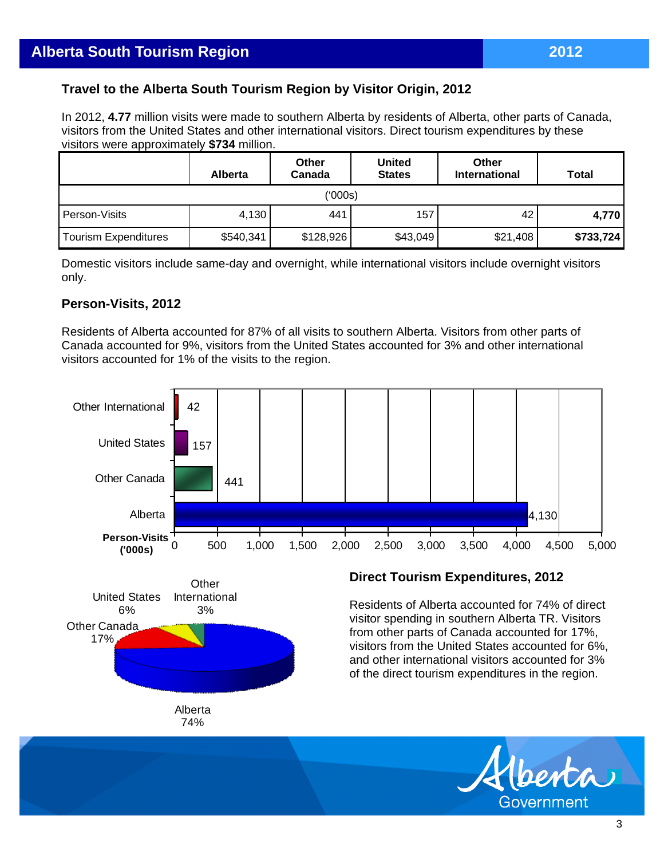# **Travel to the Alberta South Tourism Region by Visitor Origin, 2012**

In 2012, **4.77** million visits were made to southern Alberta by residents of Alberta, other parts of Canada, visitors from the United States and other international visitors. Direct tourism expenditures by these visitors were approximately **\$734** million.

|                             | <b>Alberta</b> | Other<br>Canada | <b>United</b><br><b>States</b> | Other<br><b>International</b> | Total     |  |  |  |
|-----------------------------|----------------|-----------------|--------------------------------|-------------------------------|-----------|--|--|--|
| ('000s)                     |                |                 |                                |                               |           |  |  |  |
| Person-Visits               | 4,130          | 441             | 157                            | 42                            | 4.770 l   |  |  |  |
| <b>Tourism Expenditures</b> | \$540,341      | \$128,926       | \$43,049                       | \$21,408                      | \$733,724 |  |  |  |

Domestic visitors include same-day and overnight, while international visitors include overnight visitors only.

## **Person-Visits, 2012**

Residents of Alberta accounted for 87% of all visits to southern Alberta. Visitors from other parts of Canada accounted for 9%, visitors from the United States accounted for 3% and other international visitors accounted for 1% of the visits to the region.





### **Direct Tourism Expenditures, 2012**

Residents of Alberta accounted for 74% of direct visitor spending in southern Alberta TR. Visitors from other parts of Canada accounted for 17%, visitors from the United States accounted for 6%, and other international visitors accounted for 3% of the direct tourism expenditures in the region.